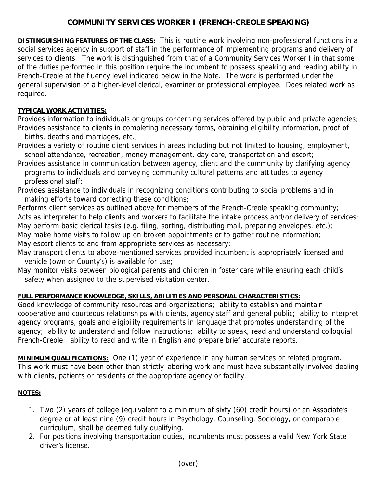# **COMMUNITY SERVICES WORKER I (FRENCH-CREOLE SPEAKING)**

**DISTINGUISHING FEATURES OF THE CLASS:** This is routine work involving non-professional functions in a social services agency in support of staff in the performance of implementing programs and delivery of services to clients. The work is distinguished from that of a Community Services Worker I in that some of the duties performed in this position require the incumbent to possess speaking and reading ability in French-Creole at the fluency level indicated below in the Note. The work is performed under the general supervision of a higher-level clerical, examiner or professional employee. Does related work as required.

#### **TYPICAL WORK ACTIVITIES:**

Provides information to individuals or groups concerning services offered by public and private agencies; Provides assistance to clients in completing necessary forms, obtaining eligibility information, proof of births, deaths and marriages, etc.;

Provides a variety of routine client services in areas including but not limited to housing, employment, school attendance, recreation, money management, day care, transportation and escort;

Provides assistance in communication between agency, client and the community by clarifying agency programs to individuals and conveying community cultural patterns and attitudes to agency professional staff;

Provides assistance to individuals in recognizing conditions contributing to social problems and in making efforts toward correcting these conditions;

Performs client services as outlined above for members of the French-Creole speaking community; Acts as interpreter to help clients and workers to facilitate the intake process and/or delivery of services; May perform basic clerical tasks (e.g. filing, sorting, distributing mail, preparing envelopes, etc.); May make home visits to follow up on broken appointments or to gather routine information; May escort clients to and from appropriate services as necessary;

May transport clients to above-mentioned services provided incumbent is appropriately licensed and vehicle (own or County's) is available for use;

May monitor visits between biological parents and children in foster care while ensuring each child's safety when assigned to the supervised visitation center.

## **FULL PERFORMANCE KNOWLEDGE, SKILLS, ABILITIES AND PERSONAL CHARACTERISTICS:**

Good knowledge of community resources and organizations; ability to establish and maintain cooperative and courteous relationships with clients, agency staff and general public; ability to interpret agency programs, goals and eligibility requirements in language that promotes understanding of the agency; ability to understand and follow instructions; ability to speak, read and understand colloquial French-Creole; ability to read and write in English and prepare brief accurate reports.

**MINIMUM QUALIFICATIONS:** One (1) year of experience in any human services or related program. This work must have been other than strictly laboring work and must have substantially involved dealing with clients, patients or residents of the appropriate agency or facility.

## **NOTES:**

- 1. Two (2) years of college (equivalent to a minimum of sixty (60) credit hours) or an Associate's degree or at least nine (9) credit hours in Psychology, Counseling, Sociology, or comparable curriculum, shall be deemed fully qualifying.
- 2. For positions involving transportation duties, incumbents must possess a valid New York State driver's license.